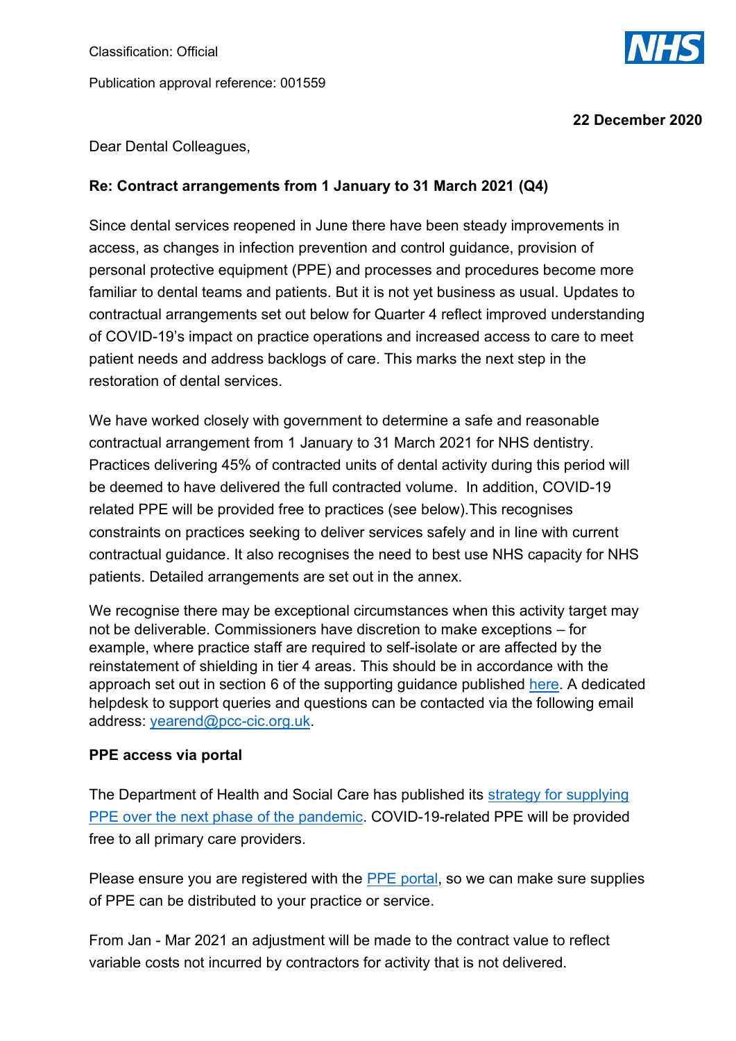

**22 December 2020**

Dear Dental Colleagues,

#### **Re: Contract arrangements from 1 January to 31 March 2021 (Q4)**

Since dental services reopened in June there have been steady improvements in access, as changes in infection prevention and control guidance, provision of personal protective equipment (PPE) and processes and procedures become more familiar to dental teams and patients. But it is not yet business as usual. Updates to contractual arrangements set out below for Quarter 4 reflect improved understanding of COVID-19's impact on practice operations and increased access to care to meet patient needs and address backlogs of care. This marks the next step in the restoration of dental services.

We have worked closely with government to determine a safe and reasonable contractual arrangement from 1 January to 31 March 2021 for NHS dentistry. Practices delivering 45% of contracted units of dental activity during this period will be deemed to have delivered the full contracted volume. In addition, COVID-19 related PPE will be provided free to practices (see below).This recognises constraints on practices seeking to deliver services safely and in line with current contractual guidance. It also recognises the need to best use NHS capacity for NHS patients. Detailed arrangements are set out in the annex.

We recognise there may be exceptional circumstances when this activity target may not be deliverable. Commissioners have discretion to make exceptions – for example, where practice staff are required to self-isolate or are affected by the reinstatement of shielding in tier 4 areas. This should be in accordance with the approach set out in section 6 of the supporting guidance published [here.](https://www.nhsbsa.nhs.uk/dental-provider-assurance/dental-assurance-reviews/mid-yearyear-end-contract-reconciliation) A dedicated helpdesk to support queries and questions can be contacted via the following email address: [yearend@pcc-cic.org.uk.](mailto:yearend@pcc-cic.org.uk)

#### **PPE access via portal**

The Department of Health and Social Care has published its [strategy for supplying](https://www.gov.uk/government/publications/personal-protective-equipment-ppe-strategy-stabilise-and-build-resilience)  [PPE over the next phase of the pandemic.](https://www.gov.uk/government/publications/personal-protective-equipment-ppe-strategy-stabilise-and-build-resilience) COVID-19-related PPE will be provided free to all primary care providers.

Please ensure you are registered with the [PPE portal,](https://nhs-ppe.co.uk/customer/authentication) so we can make sure supplies of PPE can be distributed to your practice or service.

From Jan - Mar 2021 an adjustment will be made to the contract value to reflect variable costs not incurred by contractors for activity that is not delivered.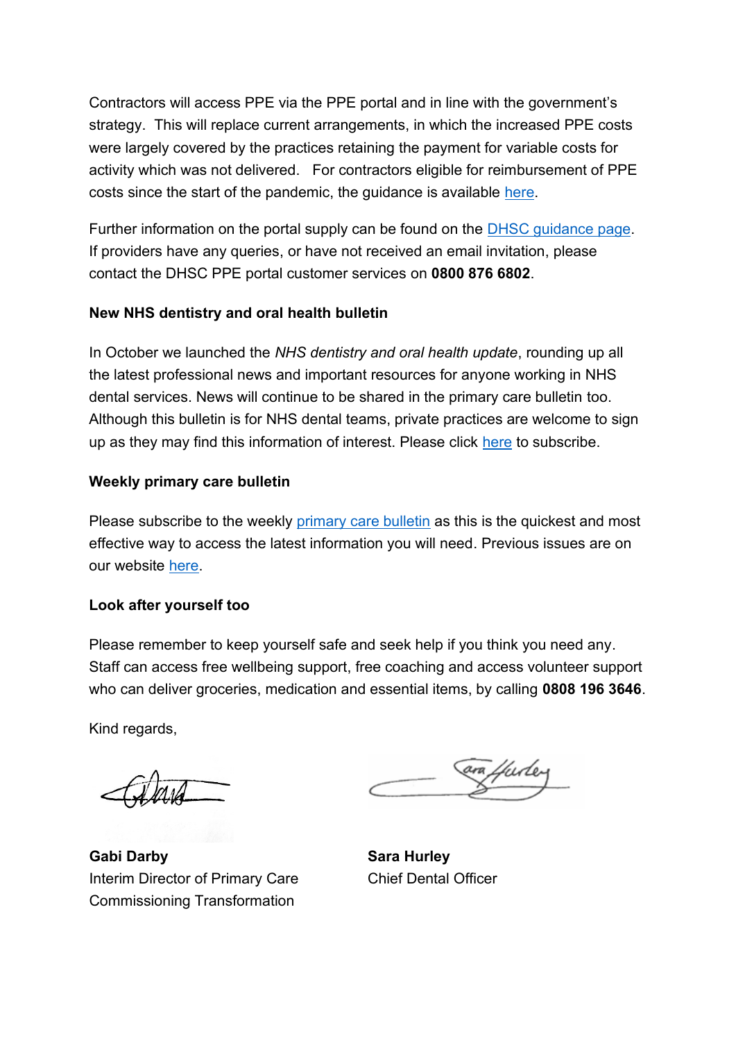Contractors will access PPE via the PPE portal and in line with the government's strategy. This will replace current arrangements, in which the increased PPE costs were largely covered by the practices retaining the payment for variable costs for activity which was not delivered. For contractors eligible for reimbursement of PPE costs since the start of the pandemic, the guidance is available [here.](https://www.gov.uk/government/publications/ppe-reimbursement-for-non-hospital-providers)

Further information on the portal supply can be found on the [DHSC guidance page.](https://www.gov.uk/guidance/ppe-portal-how-to-order-emergency-personal-protective-equipment) If providers have any queries, or have not received an email invitation, please contact the DHSC PPE portal customer services on **0800 876 6802**.

#### **New NHS dentistry and oral health bulletin**

In October we launched the *NHS dentistry and oral health update*, rounding up all the latest professional news and important resources for anyone working in NHS dental services. News will continue to be shared in the primary care bulletin too. Although this bulletin is for NHS dental teams, private practices are welcome to sign up as they may find this information of interest. Please click [here](https://www.england.nhs.uk/email-bulletins/dentistry-oral-health-update/) to subscribe.

## **Weekly primary care bulletin**

Please subscribe to the weekly [primary care bulletin](https://www.england.nhs.uk/email-%20bulletins/primary-care-bulletin/) as this is the quickest and most effective way to access the latest information you will need. Previous issues are on our website [here.](https://www.england.nhs.uk/coronavirus/primary-care/other-resources/primary-care-%20bulletin/)

#### **Look after yourself too**

Please remember to keep yourself safe and seek help if you think you need any. Staff can access free wellbeing support, free coaching and access volunteer support who can deliver groceries, medication and essential items, by calling **0808 196 3646**.

Kind regards,

**Gabi Darby** Interim Director of Primary Care Commissioning Transformation

**Sara Hurley** Chief Dental Officer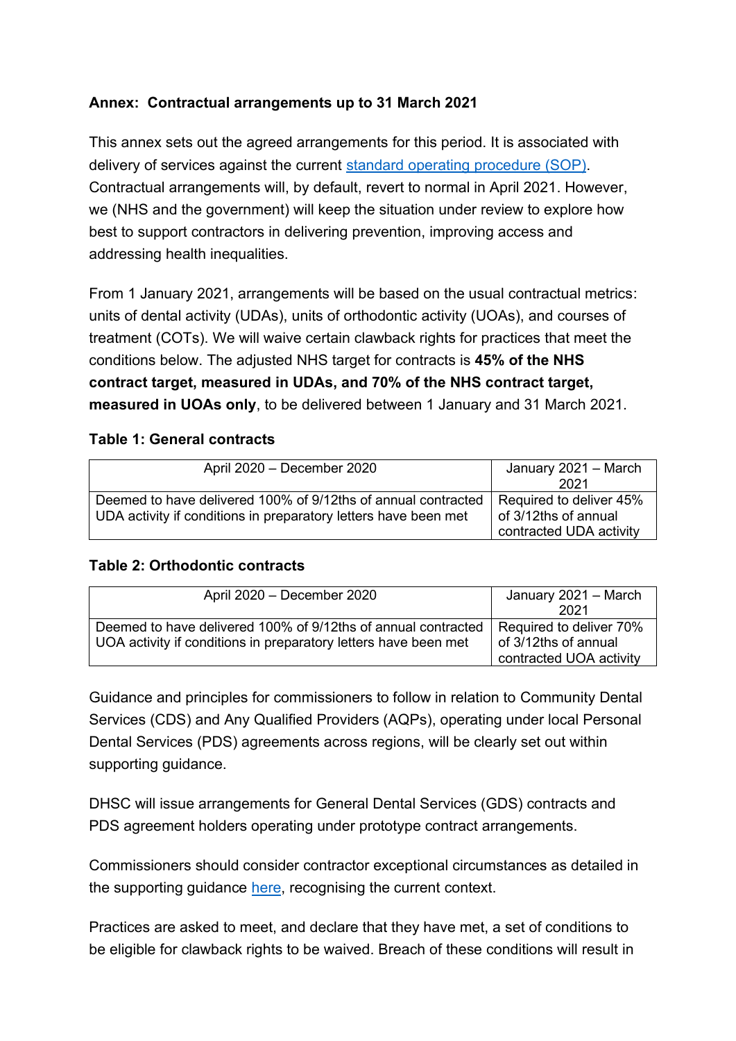#### **Annex: Contractual arrangements up to 31 March 2021**

This annex sets out the agreed arrangements for this period. It is associated with delivery of services against the current [standard operating procedure](https://www.england.nhs.uk/coronavirus/publication/dental-standard-operating-procedure-transition-to-recovery/) (SOP). Contractual arrangements will, by default, revert to normal in April 2021. However, we (NHS and the government) will keep the situation under review to explore how best to support contractors in delivering prevention, improving access and addressing health inequalities.

From 1 January 2021, arrangements will be based on the usual contractual metrics: units of dental activity (UDAs), units of orthodontic activity (UOAs), and courses of treatment (COTs). We will waive certain clawback rights for practices that meet the conditions below. The adjusted NHS target for contracts is **45% of the NHS contract target, measured in UDAs, and 70% of the NHS contract target, measured in UOAs only**, to be delivered between 1 January and 31 March 2021.

#### **Table 1: General contracts**

| April 2020 - December 2020                                      | January 2021 - March    |
|-----------------------------------------------------------------|-------------------------|
|                                                                 | 2021                    |
| Deemed to have delivered 100% of 9/12ths of annual contracted   | Required to deliver 45% |
| UDA activity if conditions in preparatory letters have been met | of 3/12ths of annual    |
|                                                                 | contracted UDA activity |

#### **Table 2: Orthodontic contracts**

| April 2020 - December 2020                                                              | January 2021 – March    |
|-----------------------------------------------------------------------------------------|-------------------------|
|                                                                                         | 2021                    |
| Deemed to have delivered 100% of 9/12ths of annual contracted   Required to deliver 70% |                         |
| UOA activity if conditions in preparatory letters have been met                         | of 3/12ths of annual    |
|                                                                                         | contracted UOA activity |

Guidance and principles for commissioners to follow in relation to Community Dental Services (CDS) and Any Qualified Providers (AQPs), operating under local Personal Dental Services (PDS) agreements across regions, will be clearly set out within supporting guidance.

DHSC will issue arrangements for General Dental Services (GDS) contracts and PDS agreement holders operating under prototype contract arrangements.

Commissioners should consider contractor exceptional circumstances as detailed in the supporting guidance [here,](https://www.nhsbsa.nhs.uk/dental-provider-assurance/dental-assurance-reviews/mid-yearyear-end-contract-reconciliation) recognising the current context.

Practices are asked to meet, and declare that they have met, a set of conditions to be eligible for clawback rights to be waived. Breach of these conditions will result in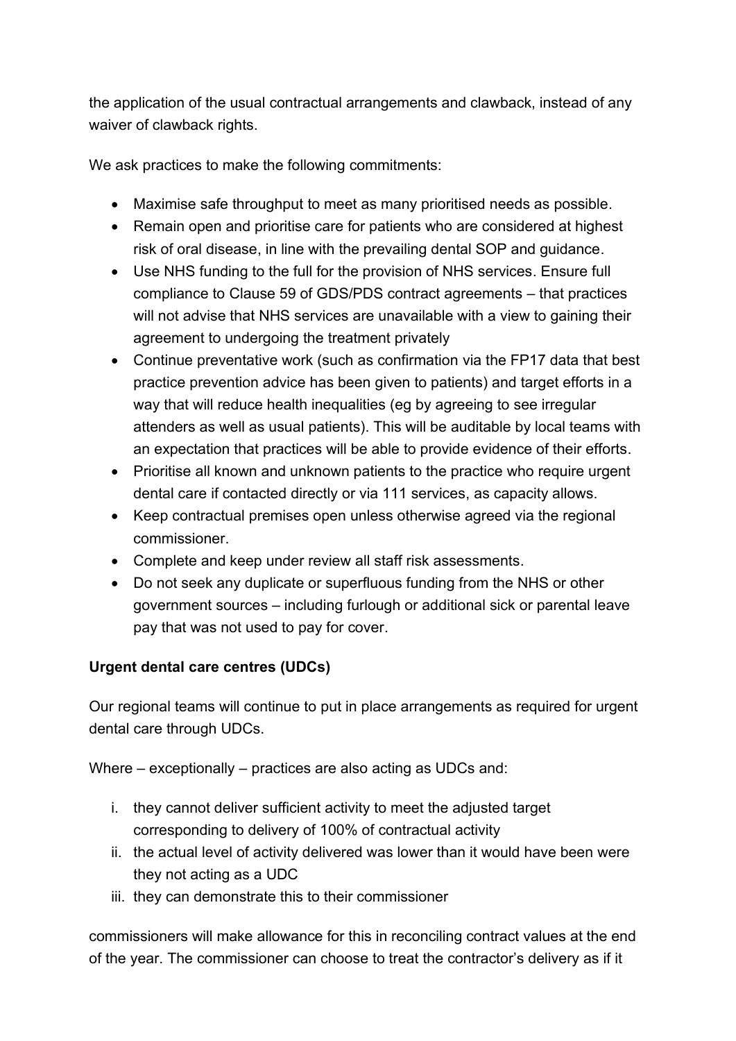the application of the usual contractual arrangements and clawback, instead of any waiver of clawback rights.

We ask practices to make the following commitments:

- Maximise safe throughput to meet as many prioritised needs as possible.
- Remain open and prioritise care for patients who are considered at highest risk of oral disease, in line with the prevailing dental SOP and guidance.
- Use NHS funding to the full for the provision of NHS services. Ensure full compliance to Clause 59 of GDS/PDS contract agreements – that practices will not advise that NHS services are unavailable with a view to gaining their agreement to undergoing the treatment privately
- Continue preventative work (such as confirmation via the FP17 data that best practice prevention advice has been given to patients) and target efforts in a way that will reduce health inequalities (eg by agreeing to see irregular attenders as well as usual patients). This will be auditable by local teams with an expectation that practices will be able to provide evidence of their efforts.
- Prioritise all known and unknown patients to the practice who require urgent dental care if contacted directly or via 111 services, as capacity allows.
- Keep contractual premises open unless otherwise agreed via the regional commissioner.
- Complete and keep under review all staff risk assessments.
- Do not seek any duplicate or superfluous funding from the NHS or other government sources – including furlough or additional sick or parental leave pay that was not used to pay for cover.

# **Urgent dental care centres (UDCs)**

Our regional teams will continue to put in place arrangements as required for urgent dental care through UDCs.

Where – exceptionally – practices are also acting as UDCs and:

- i. they cannot deliver sufficient activity to meet the adjusted target corresponding to delivery of 100% of contractual activity
- ii. the actual level of activity delivered was lower than it would have been were they not acting as a UDC
- iii. they can demonstrate this to their commissioner

commissioners will make allowance for this in reconciling contract values at the end of the year. The commissioner can choose to treat the contractor's delivery as if it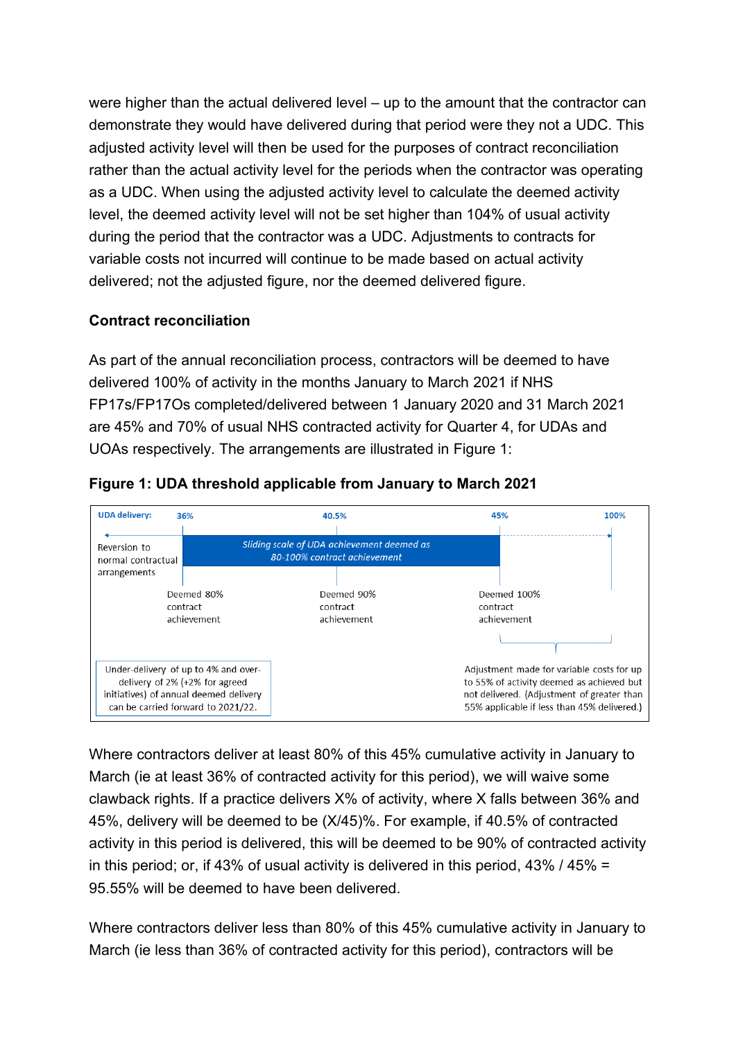were higher than the actual delivered level – up to the amount that the contractor can demonstrate they would have delivered during that period were they not a UDC. This adjusted activity level will then be used for the purposes of contract reconciliation rather than the actual activity level for the periods when the contractor was operating as a UDC. When using the adjusted activity level to calculate the deemed activity level, the deemed activity level will not be set higher than 104% of usual activity during the period that the contractor was a UDC. Adjustments to contracts for variable costs not incurred will continue to be made based on actual activity delivered; not the adjusted figure, nor the deemed delivered figure.

## **Contract reconciliation**

As part of the annual reconciliation process, contractors will be deemed to have delivered 100% of activity in the months January to March 2021 if NHS FP17s/FP17Os completed/delivered between 1 January 2020 and 31 March 2021 are 45% and 70% of usual NHS contracted activity for Quarter 4, for UDAs and UOAs respectively. The arrangements are illustrated in Figure 1:



#### **Figure 1: UDA threshold applicable from January to March 2021**

Where contractors deliver at least 80% of this 45% cumulative activity in January to March (ie at least 36% of contracted activity for this period), we will waive some clawback rights. If a practice delivers X% of activity, where X falls between 36% and 45%, delivery will be deemed to be (X/45)%. For example, if 40.5% of contracted activity in this period is delivered, this will be deemed to be 90% of contracted activity in this period; or, if 43% of usual activity is delivered in this period, 43% / 45% = 95.55% will be deemed to have been delivered.

Where contractors deliver less than 80% of this 45% cumulative activity in January to March (ie less than 36% of contracted activity for this period), contractors will be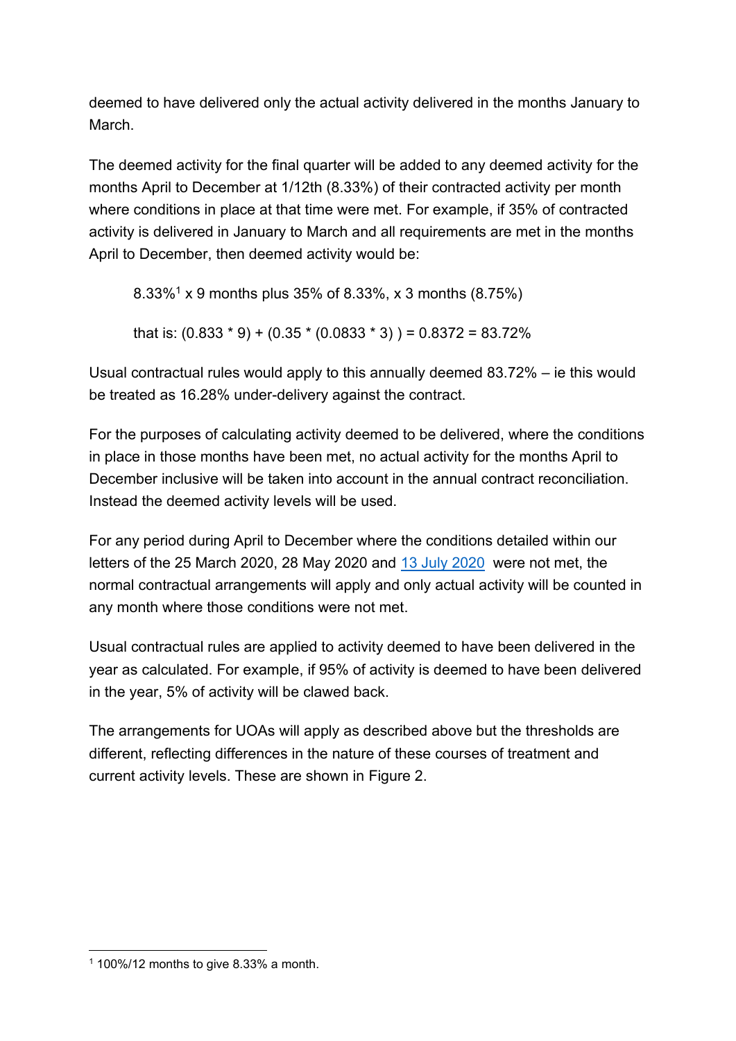deemed to have delivered only the actual activity delivered in the months January to March.

The deemed activity for the final quarter will be added to any deemed activity for the months April to December at 1/12th (8.33%) of their contracted activity per month where conditions in place at that time were met. For example, if 35% of contracted activity is delivered in January to March and all requirements are met in the months April to December, then deemed activity would be:

8.33%<sup>1</sup> x 9 months plus 35% of 8.33%, x 3 months (8.75%) that is:  $(0.833 * 9) + (0.35 * (0.0833 * 3)) = 0.8372 = 83.72%$ 

Usual contractual rules would apply to this annually deemed 83.72% – ie this would be treated as 16.28% under-delivery against the contract.

For the purposes of calculating activity deemed to be delivered, where the conditions in place in those months have been met, no actual activity for the months April to December inclusive will be taken into account in the annual contract reconciliation. Instead the deemed activity levels will be used.

For any period during April to December where the conditions detailed within our letters of the 25 March 2020, 28 May 2020 and [13 July 2020](https://www.england.nhs.uk/coronavirus/wp-content/uploads/sites/52/2020/03/C0603-Dental-preparedness-letter_July-2020.pdf) were not met, the normal contractual arrangements will apply and only actual activity will be counted in any month where those conditions were not met.

Usual contractual rules are applied to activity deemed to have been delivered in the year as calculated. For example, if 95% of activity is deemed to have been delivered in the year, 5% of activity will be clawed back.

The arrangements for UOAs will apply as described above but the thresholds are different, reflecting differences in the nature of these courses of treatment and current activity levels. These are shown in Figure 2.

 $1100\%/12$  months to give 8.33% a month.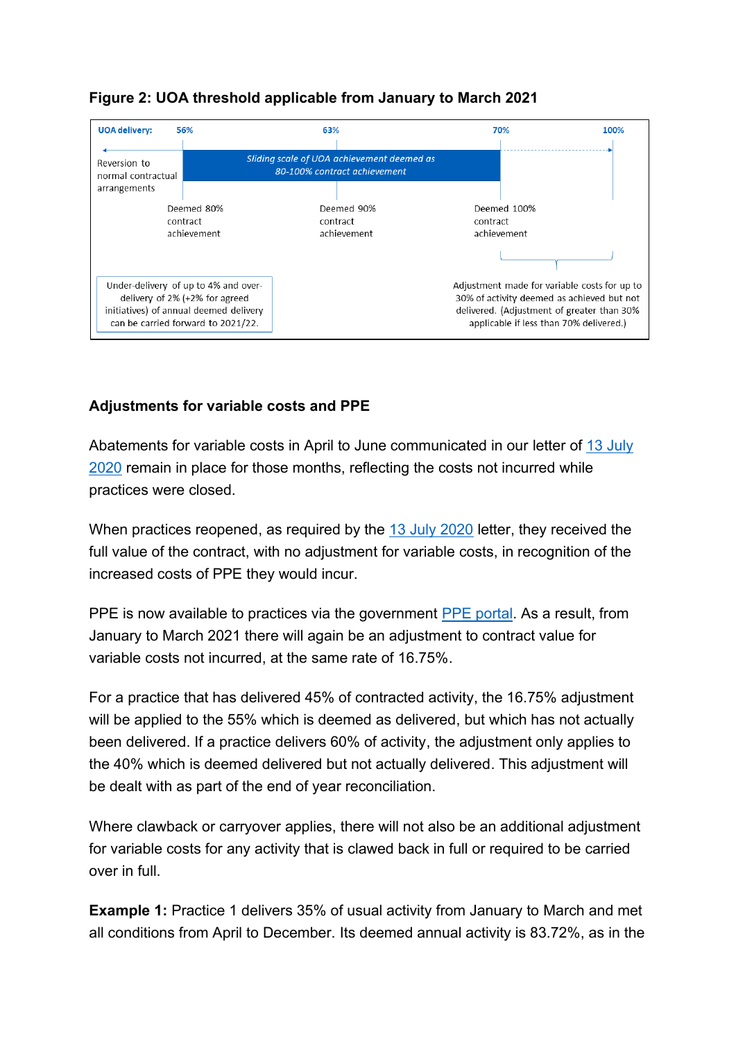

# **Figure 2: UOA threshold applicable from January to March 2021**

# **Adjustments for variable costs and PPE**

Abatements for variable costs in April to June communicated in our letter of [13 July](https://www.england.nhs.uk/coronavirus/wp-content/uploads/sites/52/2020/03/C0603-Dental-preparedness-letter_July-2020.pdf)  [2020](https://www.england.nhs.uk/coronavirus/wp-content/uploads/sites/52/2020/03/C0603-Dental-preparedness-letter_July-2020.pdf) remain in place for those months, reflecting the costs not incurred while practices were closed.

When practices reopened, as required by the [13 July 2020](https://www.england.nhs.uk/coronavirus/wp-content/uploads/sites/52/2020/03/C0603-Dental-preparedness-letter_July-2020.pdf) letter, they received the full value of the contract, with no adjustment for variable costs, in recognition of the increased costs of PPE they would incur.

PPE is now available to practices via the government [PPE portal.](https://nhs-ppe.co.uk/customer/authentication) As a result, from January to March 2021 there will again be an adjustment to contract value for variable costs not incurred, at the same rate of 16.75%.

For a practice that has delivered 45% of contracted activity, the 16.75% adjustment will be applied to the 55% which is deemed as delivered, but which has not actually been delivered. If a practice delivers 60% of activity, the adjustment only applies to the 40% which is deemed delivered but not actually delivered. This adjustment will be dealt with as part of the end of year reconciliation.

Where clawback or carryover applies, there will not also be an additional adjustment for variable costs for any activity that is clawed back in full or required to be carried over in full.

**Example 1:** Practice 1 delivers 35% of usual activity from January to March and met all conditions from April to December. Its deemed annual activity is 83.72%, as in the